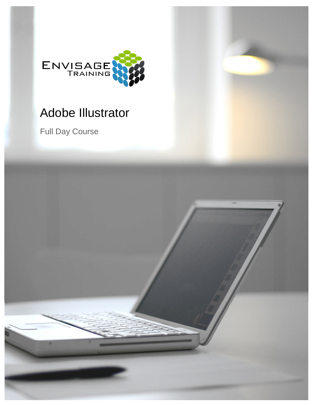

# Adobe Illustrator

Full Day Course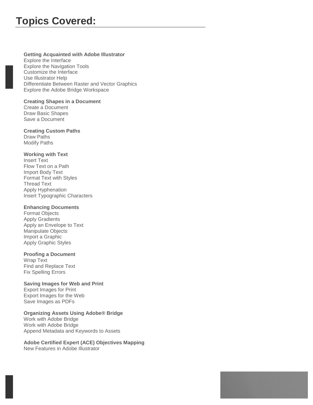# **Getting Acquainted with Adobe Illustrator**

Explore the Interface Explore the Navigation Tools Customize the Interface Use Illustrator Help Differentiate Between Raster and Vector Graphics Explore the Adobe Bridge Workspace

## **Creating Shapes in a Document**

Create a Document Draw Basic Shapes Save a Document

# **Creating Custom Paths**

Draw Paths Modify Paths

# **Working with Text**

Insert Text Flow Text on a Path Import Body Text Format Text with Styles Thread Text Apply Hyphenation Insert Typographic Characters

## **Enhancing Documents**

Format Objects Apply Gradients Apply an Envelope to Text Manipulate Objects Import a Graphic Apply Graphic Styles

# **Proofing a Document**

Wrap Text Find and Replace Text Fix Spelling Errors

# **Saving Images for Web and Print**

Export Images for Print Export Images for the Web Save Images as PDFs

# **Organizing Assets Using Adobe® Bridge**

Work with Adobe Bridge Work with Adobe Bridge Append Metadata and Keywords to Assets

#### **Adobe Certified Expert (ACE) Objectives Mapping** New Features in Adobe Illustrator